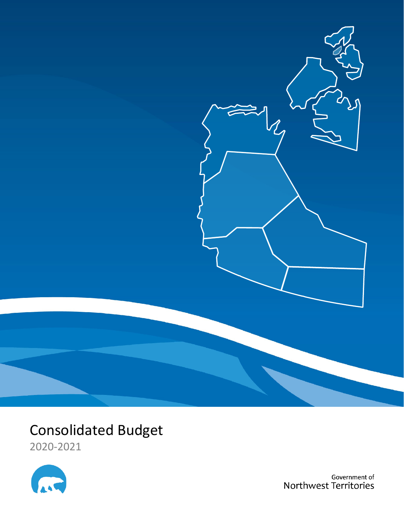

# Consolidated Budget

2020-2021



Government of Northwest Territories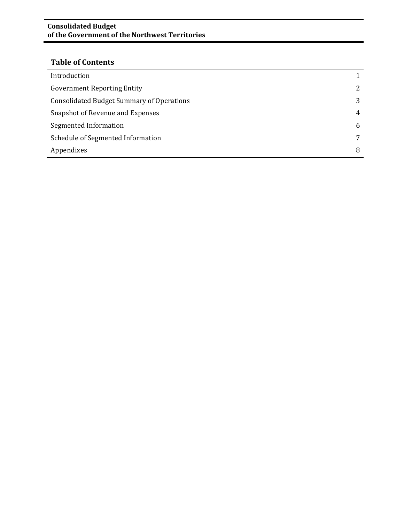#### **Consolidated Budget of the Government of the Northwest Territories**

### **Table of Contents**

| Introduction                                     |   |
|--------------------------------------------------|---|
| <b>Government Reporting Entity</b>               | 2 |
| <b>Consolidated Budget Summary of Operations</b> | 3 |
| Snapshot of Revenue and Expenses                 | 4 |
| Segmented Information                            | 6 |
| Schedule of Segmented Information                |   |
| Appendixes                                       | 8 |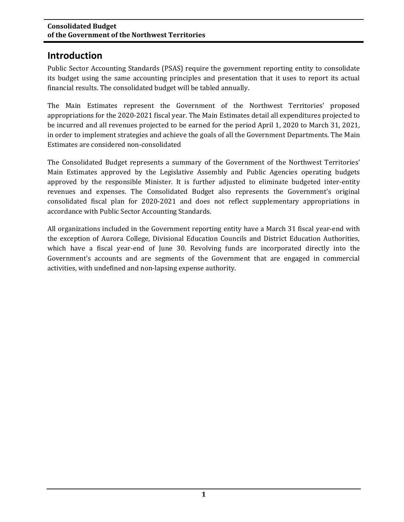### **Introduction**

Public Sector Accounting Standards (PSAS) require the government reporting entity to consolidate its budget using the same accounting principles and presentation that it uses to report its actual financial results. The consolidated budget will be tabled annually.

The Main Estimates represent the Government of the Northwest Territories' proposed appropriations for the 2020-2021 fiscal year. The Main Estimates detail all expenditures projected to be incurred and all revenues projected to be earned for the period April 1, 2020 to March 31, 2021, in order to implement strategies and achieve the goals of all the Government Departments. The Main Estimates are considered non-consolidated

The Consolidated Budget represents a summary of the Government of the Northwest Territories' Main Estimates approved by the Legislative Assembly and Public Agencies operating budgets approved by the responsible Minister. It is further adjusted to eliminate budgeted inter-entity revenues and expenses. The Consolidated Budget also represents the Government's original consolidated fiscal plan for 2020-2021 and does not reflect supplementary appropriations in accordance with Public Sector Accounting Standards.

All organizations included in the Government reporting entity have a March 31 fiscal year-end with the exception of Aurora College, Divisional Education Councils and District Education Authorities, which have a fiscal year-end of June 30. Revolving funds are incorporated directly into the Government's accounts and are segments of the Government that are engaged in commercial activities, with undefined and non-lapsing expense authority.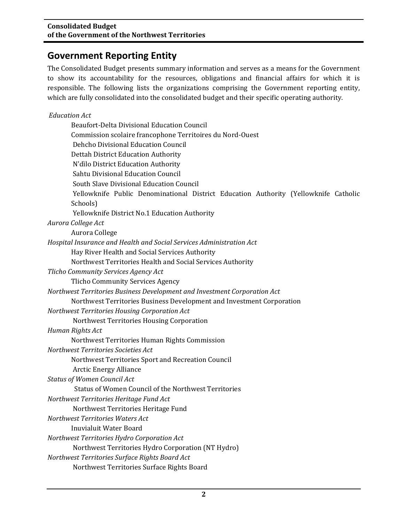### **Government Reporting Entity**

The Consolidated Budget presents summary information and serves as a means for the Government to show its accountability for the resources, obligations and financial affairs for which it is responsible. The following lists the organizations comprising the Government reporting entity, which are fully consolidated into the consolidated budget and their specific operating authority.

#### *Education Act*

| Beaufort-Delta Divisional Education Council<br>Commission scolaire francophone Territoires du Nord-Ouest<br>Dehcho Divisional Education Council<br>Dettah District Education Authority<br>N'dìlo District Education Authority<br>Sahtu Divisional Education Council |
|---------------------------------------------------------------------------------------------------------------------------------------------------------------------------------------------------------------------------------------------------------------------|
| South Slave Divisional Education Council                                                                                                                                                                                                                            |
| Yellowknife Public Denominational District Education Authority (Yellowknife Catholic                                                                                                                                                                                |
| Schools)                                                                                                                                                                                                                                                            |
| Yellowknife District No.1 Education Authority                                                                                                                                                                                                                       |
| Aurora College Act                                                                                                                                                                                                                                                  |
| Aurora College                                                                                                                                                                                                                                                      |
| Hospital Insurance and Health and Social Services Administration Act                                                                                                                                                                                                |
| Hay River Health and Social Services Authority                                                                                                                                                                                                                      |
| Northwest Territories Health and Social Services Authority                                                                                                                                                                                                          |
| Tlicho Community Services Agency Act                                                                                                                                                                                                                                |
| <b>Tlicho Community Services Agency</b>                                                                                                                                                                                                                             |
| Northwest Territories Business Development and Investment Corporation Act                                                                                                                                                                                           |
| Northwest Territories Business Development and Investment Corporation                                                                                                                                                                                               |
| Northwest Territories Housing Corporation Act                                                                                                                                                                                                                       |
| Northwest Territories Housing Corporation                                                                                                                                                                                                                           |
| Human Rights Act                                                                                                                                                                                                                                                    |
| Northwest Territories Human Rights Commission                                                                                                                                                                                                                       |
| Northwest Territories Societies Act                                                                                                                                                                                                                                 |
| Northwest Territories Sport and Recreation Council                                                                                                                                                                                                                  |
| <b>Arctic Energy Alliance</b>                                                                                                                                                                                                                                       |
| <b>Status of Women Council Act</b>                                                                                                                                                                                                                                  |
| Status of Women Council of the Northwest Territories                                                                                                                                                                                                                |
| Northwest Territories Heritage Fund Act                                                                                                                                                                                                                             |
| Northwest Territories Heritage Fund                                                                                                                                                                                                                                 |
| Northwest Territories Waters Act                                                                                                                                                                                                                                    |
| <b>Inuvialuit Water Board</b>                                                                                                                                                                                                                                       |
| Northwest Territories Hydro Corporation Act                                                                                                                                                                                                                         |
| Northwest Territories Hydro Corporation (NT Hydro)                                                                                                                                                                                                                  |
| Northwest Territories Surface Rights Board Act<br>Northwest Territories Surface Rights Board                                                                                                                                                                        |
|                                                                                                                                                                                                                                                                     |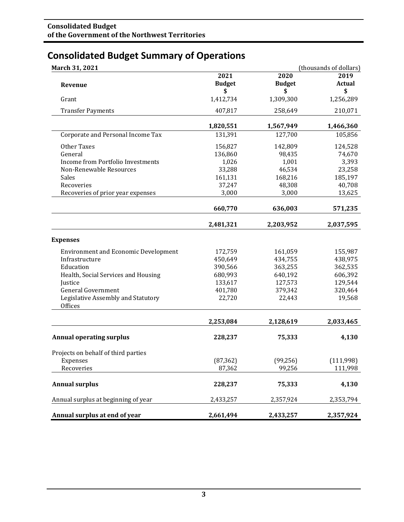## **Consolidated Budget Summary of Operations**

| March 31, 2021                                |                 |                 | (thousands of dollars) |
|-----------------------------------------------|-----------------|-----------------|------------------------|
|                                               | 2021            | 2020            | 2019                   |
| Revenue                                       | <b>Budget</b>   | <b>Budget</b>   | <b>Actual</b>          |
| Grant                                         | \$<br>1,412,734 | \$<br>1,309,300 | \$<br>1,256,289        |
|                                               |                 |                 |                        |
| <b>Transfer Payments</b>                      | 407,817         | 258,649         | 210,071                |
|                                               | 1,820,551       | 1,567,949       | 1,466,360              |
| Corporate and Personal Income Tax             | 131,391         | 127,700         | 105,856                |
| Other Taxes                                   | 156,827         | 142,809         | 124,528                |
| General                                       | 136,860         | 98,435          | 74,670                 |
| Income from Portfolio Investments             | 1,026           | 1,001           | 3,393                  |
| Non-Renewable Resources                       | 33,288          | 46,534          | 23,258                 |
| <b>Sales</b>                                  | 161,131         | 168,216         | 185,197                |
| Recoveries                                    | 37,247          | 48,308          | 40,708                 |
| Recoveries of prior year expenses             | 3,000           | 3,000           | 13,625                 |
|                                               | 660,770         | 636,003         | 571,235                |
|                                               | 2,481,321       | 2,203,952       | 2,037,595              |
| <b>Expenses</b>                               |                 |                 |                        |
|                                               |                 |                 |                        |
| <b>Environment and Economic Development</b>   | 172,759         | 161,059         | 155,987                |
| Infrastructure                                | 450,649         | 434,755         | 438,975                |
| Education                                     | 390,566         | 363,255         | 362,535                |
| Health, Social Services and Housing           | 680,993         | 640,192         | 606,392                |
| Justice                                       | 133,617         | 127,573         | 129,544                |
| <b>General Government</b>                     | 401,780         | 379,342         | 320,464                |
| Legislative Assembly and Statutory<br>Offices | 22,720          | 22,443          | 19,568                 |
|                                               | 2,253,084       | 2,128,619       | 2,033,465              |
| <b>Annual operating surplus</b>               | 228,237         | 75,333          | 4,130                  |
| Projects on behalf of third parties           |                 |                 |                        |
| Expenses                                      | (87, 362)       | (99, 256)       | (111,998)              |
| Recoveries                                    | 87,362          | 99,256          | 111,998                |
|                                               |                 |                 |                        |
| <b>Annual surplus</b>                         | 228,237         | 75,333          | 4,130                  |
| Annual surplus at beginning of year           | 2,433,257       | 2,357,924       | 2,353,794              |
| Annual surplus at end of year                 | 2,661,494       | 2,433,257       | 2,357,924              |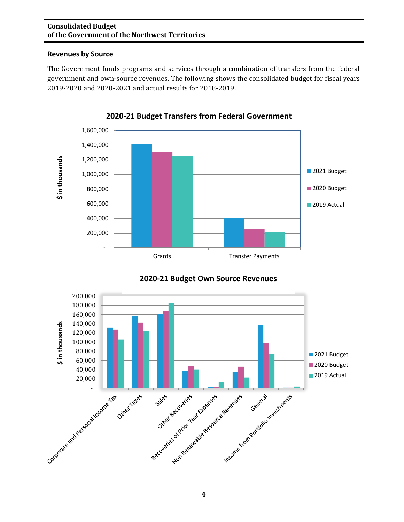#### **Consolidated Budget of the Government of the Northwest Territories**

#### **Revenues by Source**

The Government funds programs and services through a combination of transfers from the federal government and own-source revenues. The following shows the consolidated budget for fiscal years 2019-2020 and 2020-2021 and actual results for 2018-2019.



**2020-21 Budget Transfers from Federal Government**



### **2020-21 Budget Own Source Revenues**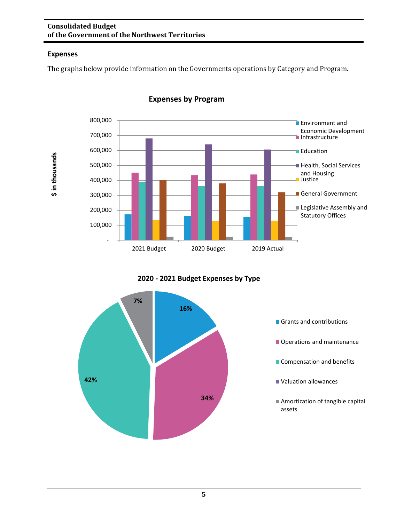#### **Consolidated Budget of the Government of the Northwest Territories**

### **Expenses**

**\$ in thousands**

\$ in thousands

The graphs below provide information on the Governments operations by Category and Program.



**Expenses by Program**

**2020 - 2021 Budget Expenses by Type**

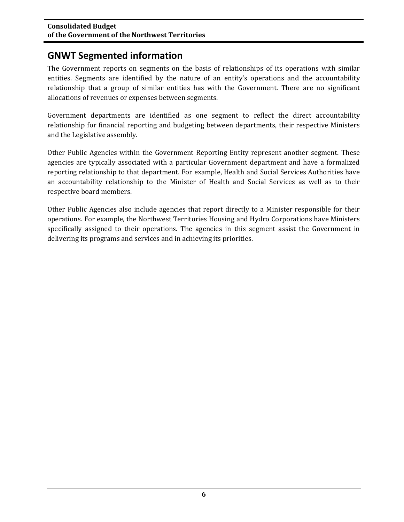### **GNWT Segmented information**

The Government reports on segments on the basis of relationships of its operations with similar entities. Segments are identified by the nature of an entity's operations and the accountability relationship that a group of similar entities has with the Government. There are no significant allocations of revenues or expenses between segments.

Government departments are identified as one segment to reflect the direct accountability relationship for financial reporting and budgeting between departments, their respective Ministers and the Legislative assembly.

Other Public Agencies within the Government Reporting Entity represent another segment. These agencies are typically associated with a particular Government department and have a formalized reporting relationship to that department. For example, Health and Social Services Authorities have an accountability relationship to the Minister of Health and Social Services as well as to their respective board members.

Other Public Agencies also include agencies that report directly to a Minister responsible for their operations. For example, the Northwest Territories Housing and Hydro Corporations have Ministers specifically assigned to their operations. The agencies in this segment assist the Government in delivering its programs and services and in achieving its priorities.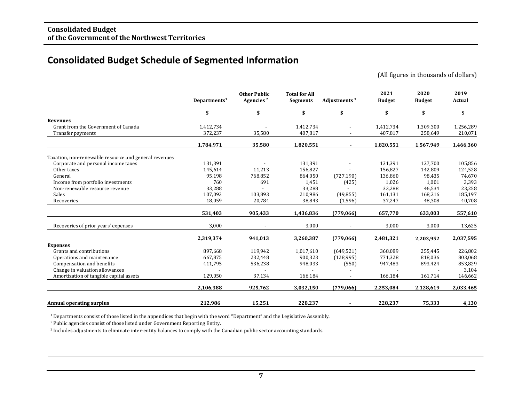### **Consolidated Budget Schedule of Segmented Information**

 (All figures in thousands of dollars) **Other Public Total for All 2021 2020 2019 Departments<sup>1</sup> <b>Agencies**<sup>2</sup> **Segments Adjustments**<sup>3</sup> **\$ \$ \$ \$ \$ \$ \$ Revenues** Grant from the Government of Canada 1,412,734 1,412,734 1,412,734 1,309,300 1,256,289<br>Transfer payments 1,412,734 35,580 407,817 - 407,817 258,649 210,071 Transfer payments **372,237** 35,580 407,817 - 407,817 258,649 210,071 **1,784,971 35,580 1,820,551 - 1,820,551 1,567,949 1,466,360** Taxation, non-renewable resource and general revenues Corporate and personal income taxes 131,391 131,391 127,700 105,856<br>
Other taxes 145,614 11,213 156,827 156,827 142,809 124,528 Other taxes 2.1 145,614 11,213 156,827 156,827 142,809 124,528 General 95,198 768,852 864,050 (727,190) 136,860 98,435 74.670 11 Income from portfolio investments  $\begin{array}{cccc} 760 & 691 & 1,451 & (425) & 1,026 & 1,001 & 3,393 \ 1,001 \text{ renewable resource revenue} & & & & 33,288 & & & 33,288 & & 46,534 & & 23,258 \end{array}$ Non-renewable resource revenue 33,288 - 33,288 - 33,288 46,534 23,258 Sales 107,093 103,893 210,986 (49,855) 161,131 168,216 185,197 Recoveries 20,784 38,843 (1,596) 37,247 48,308 40,708 18,059 18,059 37,247 38,843 (1,596) 37,247 48,308 40,708 **531,403 905,433 1,436,836 (779,066) 657,770 633,003 557,610** Recoveries of prior years' expenses  $3,000$  -  $3,000$  3,000  $3,000$  3,000  $3,000$   $3,000$   $3,000$   $3,000$ **2,319,374 941,013 3,260,387 (779,066) 2,481,321 2,203,952 2,037,595 Expenses** Grants and contributions 897,668 119,942 1,017,610 (649,521) 368,089 255,445 226,802 Operations and maintenance  $667,875$   $232,448$   $900,323$   $(128,995)$   $771,328$   $818,036$  803,068  $\text{Compensation and benefits}$   $\text{411,795}$   $\text{536,238}$   $\text{48,033}$   $\text{550}$   $\text{947,483}$   $\text{947,483}$   $\text{947,483}$   $\text{953,829}$ Change in valuation allowances and the set of the set of the set of the set of the set of the set of the set of the set of the set of the set of the set of the set of the set of the set of the set of the set of the set of Amortization of tangible capital assets **2,106,388 925,762 3,032,150 (779,066) 2,253,084 2,128,619 2,033,465 Annual operating surplus 212,986 15,251 228,237 - 228,237 75,333 4,130**

 $1$  Departments consist of those listed in the appendices that begin with the word "Department" and the Legislative Assembly.

2 Public agencies consist of those listed under Government Reporting Entity.

3 Includes adjustments to eliminate inter-entity balances to comply with the Canadian public sector accounting standards.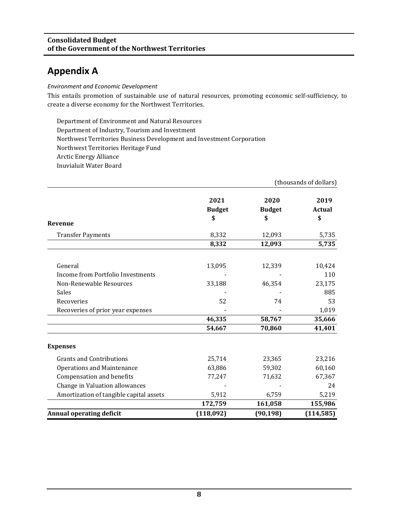### **Appendix A**

*Environment and Economic Development*

This entails promotion of sustainable use of natural resources, promoting economic self-sufficiency, to create a diverse economy for the Northwest Territories.

Department of Environment and Natural Resources Department of Industry, Tourism and Investment Northwest Territories Business Development and Investment Corporation Northwest Territories Heritage Fund Arctic Energy Alliance Inuvialuit Water Board

|                                         |               |               | (thousands of dollars) |
|-----------------------------------------|---------------|---------------|------------------------|
|                                         | 2021          | 2020          | 2019                   |
|                                         | <b>Budget</b> | <b>Budget</b> | Actual                 |
| Revenue                                 | \$            | \$            | \$                     |
|                                         |               |               |                        |
| <b>Transfer Payments</b>                | 8,332         | 12,093        | 5,735                  |
|                                         | 8,332         | 12,093        | 5,735                  |
| General                                 | 13,095        | 12,339        | 10,424                 |
| Income from Portfolio Investments       |               |               | 110                    |
| Non-Renewable Resources                 | 33,188        | 46,354        | 23,175                 |
| Sales                                   |               |               | 885                    |
| Recoveries                              | 52            | 74            | 53                     |
| Recoveries of prior year expenses       |               |               | 1,019                  |
|                                         | 46,335        | 58,767        | 35,666                 |
|                                         | 54,667        | 70,860        | 41,401                 |
| <b>Expenses</b>                         |               |               |                        |
| <b>Grants and Contributions</b>         | 25,714        | 23,365        | 23,216                 |
| <b>Operations and Maintenance</b>       | 63,886        | 59,302        | 60,160                 |
| Compensation and benefits               | 77,247        | 71,632        | 67,367                 |
| Change in Valuation allowances          |               |               | 24                     |
| Amortization of tangible capital assets | 5,912         | 6,759         | 5,219                  |
|                                         | 172,759       | 161,058       | 155,986                |
| <b>Annual operating deficit</b>         | (118,092)     | (90, 198)     | (114, 585)             |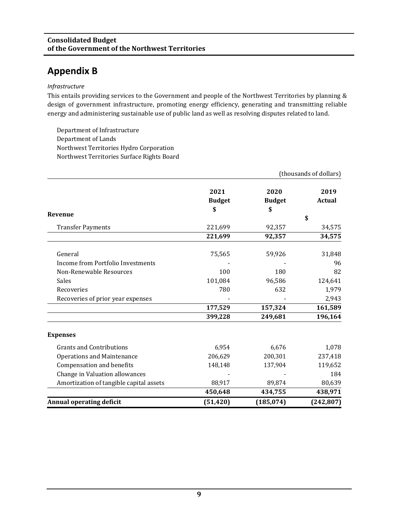### **Appendix B**

#### *Infrastructure*

This entails providing services to the Government and people of the Northwest Territories by planning & design of government infrastructure, promoting energy efficiency, generating and transmitting reliable energy and administering sustainable use of public land as well as resolving disputes related to land.

Department of Infrastructure Department of Lands Northwest Territories Hydro Corporation Northwest Territories Surface Rights Board

|                                         | (thousands of dollars) |               |            |
|-----------------------------------------|------------------------|---------------|------------|
|                                         | 2021                   | 2020          | 2019       |
|                                         | <b>Budget</b>          | <b>Budget</b> | Actual     |
| Revenue                                 | \$                     | \$            |            |
|                                         |                        |               | \$         |
| <b>Transfer Payments</b>                | 221,699                | 92,357        | 34,575     |
|                                         | 221,699                | 92,357        | 34,575     |
| General                                 | 75,565                 | 59,926        | 31,848     |
| Income from Portfolio Investments       |                        |               | 96         |
| Non-Renewable Resources                 | 100                    | 180           | 82         |
| Sales                                   | 101,084                | 96,586        | 124,641    |
| Recoveries                              | 780                    | 632           | 1,979      |
| Recoveries of prior year expenses       |                        |               | 2,943      |
|                                         | 177,529                | 157,324       | 161,589    |
|                                         | 399,228                | 249,681       | 196,164    |
| <b>Expenses</b>                         |                        |               |            |
| <b>Grants and Contributions</b>         | 6,954                  | 6,676         | 1,078      |
| <b>Operations and Maintenance</b>       | 206,629                | 200,301       | 237,418    |
| Compensation and benefits               | 148,148                | 137,904       | 119,652    |
| Change in Valuation allowances          |                        |               | 184        |
| Amortization of tangible capital assets | 88,917                 | 89,874        | 80,639     |
|                                         | 450,648                | 434,755       | 438,971    |
| <b>Annual operating deficit</b>         | (51, 420)              | (185, 074)    | (242, 807) |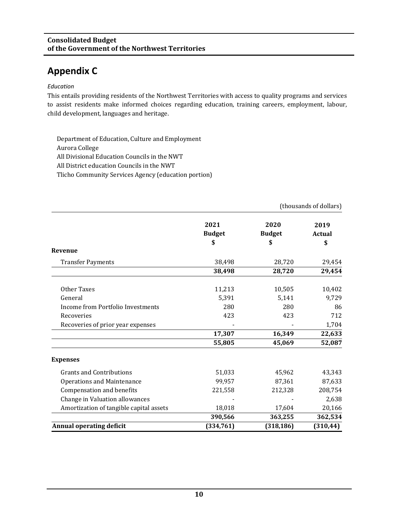### **Appendix C**

#### *Education*

This entails providing residents of the Northwest Territories with access to quality programs and services to assist residents make informed choices regarding education, training careers, employment, labour, child development, languages and heritage.

Department of Education, Culture and Employment Aurora College All Divisional Education Councils in the NWT All District education Councils in the NWT Tlicho Community Services Agency (education portion)

|                                         |                       | (thousands of dollars) |                |
|-----------------------------------------|-----------------------|------------------------|----------------|
|                                         | 2021<br><b>Budget</b> | 2020<br><b>Budget</b>  | 2019<br>Actual |
| Revenue                                 | \$                    | \$                     | \$             |
| <b>Transfer Payments</b>                | 38,498                | 28,720                 | 29,454         |
|                                         | 38,498                | 28,720                 | 29,454         |
| Other Taxes                             | 11,213                | 10,505                 | 10,402         |
| General                                 | 5,391                 | 5,141                  | 9,729          |
| Income from Portfolio Investments       | 280                   | 280                    | 86             |
| Recoveries                              | 423                   | 423                    | 712            |
| Recoveries of prior year expenses       |                       |                        | 1,704          |
|                                         | 17,307                | 16,349                 | 22,633         |
|                                         | 55,805                | 45,069                 | 52,087         |
| <b>Expenses</b>                         |                       |                        |                |
| <b>Grants and Contributions</b>         | 51,033                | 45,962                 | 43,343         |
| <b>Operations and Maintenance</b>       | 99,957                | 87,361                 | 87,633         |
| Compensation and benefits               | 221,558               | 212,328                | 208,754        |
| Change in Valuation allowances          |                       |                        | 2,638          |
| Amortization of tangible capital assets | 18,018                | 17,604                 | 20,166         |
|                                         | 390,566               | 363,255                | 362,534        |
| <b>Annual operating deficit</b>         | (334, 761)            | (318, 186)             | (310, 44)      |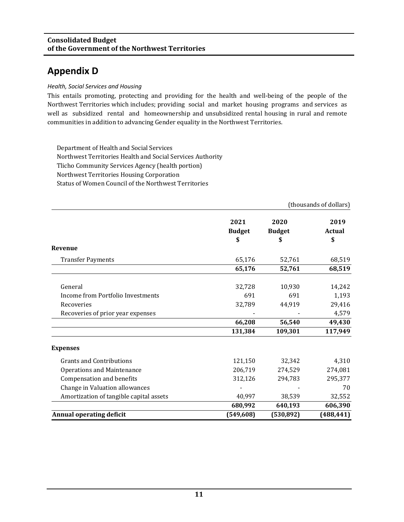### **Appendix D**

#### *Health, Social Services and Housing*

This entails promoting, protecting and providing for the health and well-being of the people of the Northwest Territories which includes; providing social and market housing programs and services as well as subsidized rental and homeownership and unsubsidized rental housing in rural and remote communities in addition to advancing Gender equality in the Northwest Territories.

Department of Health and Social Services Northwest Territories Health and Social Services Authority Tlicho Community Services Agency (health portion) Northwest Territories Housing Corporation Status of Women Council of the Northwest Territories

|                                         | (thousands of dollars) |                       |                       |
|-----------------------------------------|------------------------|-----------------------|-----------------------|
|                                         | 2021<br><b>Budget</b>  | 2020<br><b>Budget</b> | 2019<br><b>Actual</b> |
|                                         | \$                     |                       | \$                    |
| Revenue                                 |                        |                       |                       |
| <b>Transfer Payments</b>                | 65,176                 | 52,761                | 68,519                |
|                                         | 65,176                 | 52,761                | 68,519                |
| General                                 | 32,728                 | 10,930                | 14,242                |
| Income from Portfolio Investments       | 691                    | 691                   | 1,193                 |
| Recoveries                              | 32,789                 | 44,919                | 29,416                |
| Recoveries of prior year expenses       |                        |                       | 4,579                 |
|                                         | 66,208                 | 56,540                | 49,430                |
|                                         | 131,384                | 109,301               | 117,949               |
| <b>Expenses</b>                         |                        |                       |                       |
| <b>Grants and Contributions</b>         | 121,150                | 32,342                | 4,310                 |
| <b>Operations and Maintenance</b>       | 206,719                | 274,529               | 274,081               |
| Compensation and benefits               | 312,126                | 294,783               | 295,377               |
| Change in Valuation allowances          |                        |                       | 70                    |
| Amortization of tangible capital assets | 40,997                 | 38,539                | 32,552                |
|                                         | 680,992                | 640,193               | 606,390               |
| <b>Annual operating deficit</b>         | (549, 608)             | (530, 892)            | (488, 441)            |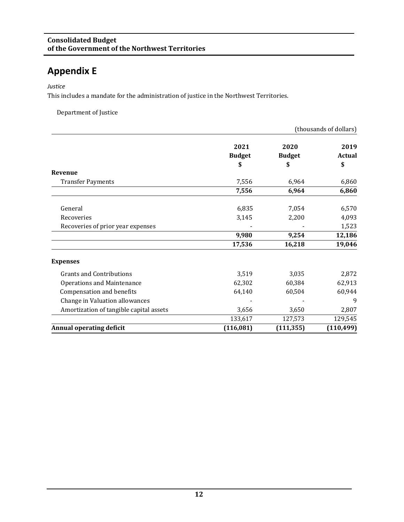### **Appendix E**

#### *Justice*

This includes a mandate for the administration of justice in the Northwest Territories.

Department of Justice

|                                         | (thousands of dollars) |               |            |
|-----------------------------------------|------------------------|---------------|------------|
|                                         | 2021                   | 2020          | 2019       |
|                                         | <b>Budget</b>          | <b>Budget</b> | Actual     |
|                                         | \$                     | \$            | \$         |
| Revenue                                 |                        |               |            |
| <b>Transfer Payments</b>                | 7,556                  | 6,964         | 6,860      |
|                                         | 7,556                  | 6,964         | 6,860      |
| General                                 | 6,835                  | 7,054         | 6,570      |
| Recoveries                              | 3,145                  | 2,200         | 4,093      |
| Recoveries of prior year expenses       |                        |               | 1,523      |
|                                         | 9,980                  | 9,254         | 12,186     |
|                                         | 17,536                 | 16,218        | 19,046     |
| <b>Expenses</b>                         |                        |               |            |
| <b>Grants and Contributions</b>         | 3,519                  | 3,035         | 2,872      |
| <b>Operations and Maintenance</b>       | 62,302                 | 60,384        | 62,913     |
| Compensation and benefits               | 64,140                 | 60,504        | 60,944     |
| Change in Valuation allowances          |                        |               | 9          |
| Amortization of tangible capital assets | 3,656                  | 3,650         | 2,807      |
|                                         | 133,617                | 127,573       | 129,545    |
| <b>Annual operating deficit</b>         | (116, 081)             | (111, 355)    | (110, 499) |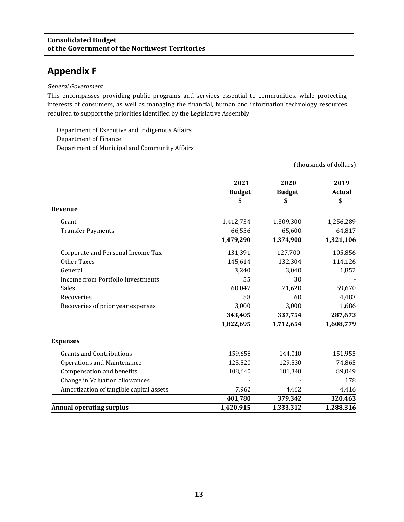### **Appendix F**

#### *General Government*

This encompasses providing public programs and services essential to communities, while protecting interests of consumers, as well as managing the financial, human and information technology resources required to support the priorities identified by the Legislative Assembly.

Department of Executive and Indigenous Affairs Department of Finance Department of Municipal and Community Affairs

|                                         |               |               | (thousands of dollars) |
|-----------------------------------------|---------------|---------------|------------------------|
|                                         | 2021          | 2020          | 2019                   |
|                                         | <b>Budget</b> | <b>Budget</b> | Actual                 |
|                                         | \$            | \$            | \$                     |
| Revenue                                 |               |               |                        |
| Grant                                   | 1,412,734     | 1,309,300     | 1,256,289              |
| <b>Transfer Payments</b>                | 66,556        | 65,600        | 64,817                 |
|                                         | 1,479,290     | 1,374,900     | 1,321,106              |
| Corporate and Personal Income Tax       | 131,391       | 127,700       | 105,856                |
| Other Taxes                             | 145,614       | 132,304       | 114,126                |
| General                                 | 3,240         | 3,040         | 1,852                  |
| Income from Portfolio Investments       | 55            | 30            |                        |
| Sales                                   | 60,047        | 71,620        | 59,670                 |
| Recoveries                              | 58            | 60            | 4,483                  |
| Recoveries of prior year expenses       | 3,000         | 3,000         | 1,686                  |
|                                         | 343,405       | 337,754       | 287,673                |
|                                         | 1,822,695     | 1,712,654     | 1,608,779              |
| <b>Expenses</b>                         |               |               |                        |
| <b>Grants and Contributions</b>         | 159,658       | 144,010       | 151,955                |
| <b>Operations and Maintenance</b>       | 125,520       | 129,530       | 74,865                 |
| Compensation and benefits               | 108,640       | 101,340       | 89,049                 |
| Change in Valuation allowances          |               |               | 178                    |
| Amortization of tangible capital assets | 7,962         | 4,462         | 4,416                  |
|                                         | 401,780       | 379,342       | 320,463                |
| <b>Annual operating surplus</b>         | 1,420,915     | 1,333,312     | 1,288,316              |